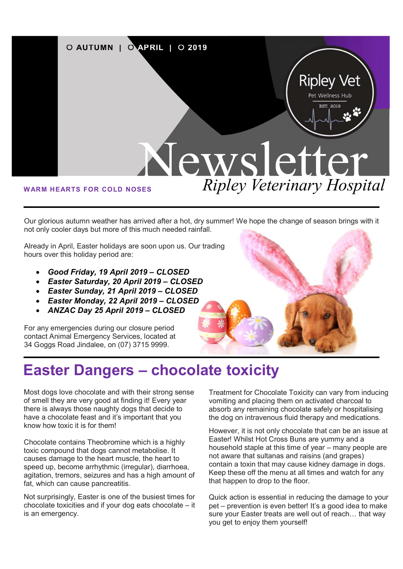

Our glorious autumn weather has arrived after a hot, dry summer! We hope the change of season brings with it not only cooler days but more of this much needed rainfall.

Already in April, Easter holidays are soon upon us. Our trading hours over this holiday period are:

- Good Friday, 19 April 2019 CLOSED
- Easter Saturday, 20 April 2019 CLOSED
- Easter Sunday, 21 April 2019 CLOSED
- Easter Monday, 22 April 2019 CLOSED
- ANZAC Day 25 April 2019 CLOSED

For any emergencies during our closure period contact Animal Emergency Services, located at 34 Goggs Road Jindalee, on (07) 3715 9999.



### Easter Dangers – chocolate toxicity

Most dogs love chocolate and with their strong sense of smell they are very good at finding it! Every year there is always those naughty dogs that decide to have a chocolate feast and it's important that you know how toxic it is for them!

Chocolate contains Theobromine which is a highly toxic compound that dogs cannot metabolise. It causes damage to the heart muscle, the heart to speed up, become arrhythmic (irregular), diarrhoea, agitation, tremors, seizures and has a high amount of fat, which can cause pancreatitis.

Not surprisingly, Easter is one of the busiest times for chocolate toxicities and if your dog eats chocolate – it is an emergency.

Treatment for Chocolate Toxicity can vary from inducing vomiting and placing them on activated charcoal to absorb any remaining chocolate safely or hospitalising the dog on intravenous fluid therapy and medications.

However, it is not only chocolate that can be an issue at Easter! Whilst Hot Cross Buns are yummy and a household staple at this time of year – many people are not aware that sultanas and raisins (and grapes) contain a toxin that may cause kidney damage in dogs. Keep these off the menu at all times and watch for any that happen to drop to the floor.

Quick action is essential in reducing the damage to your pet – prevention is even better! It's a good idea to make sure your Easter treats are well out of reach… that way you get to enjoy them yourself!